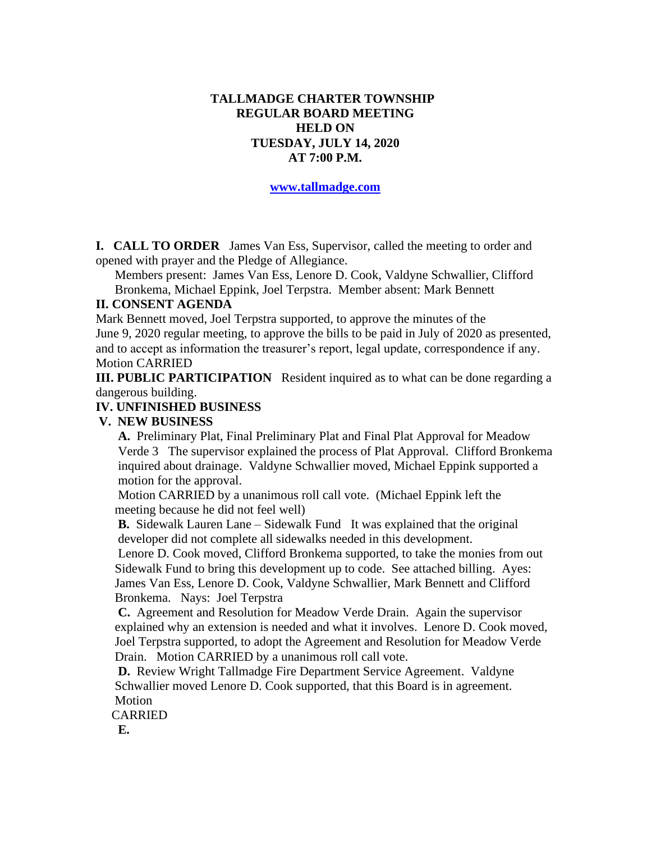### **TALLMADGE CHARTER TOWNSHIP REGULAR BOARD MEETING HELD ON TUESDAY, JULY 14, 2020 AT 7:00 P.M.**

**[www.tallmadge.com](http://www.tallmadge.com/)**

**I. CALL TO ORDER** James Van Ess, Supervisor, called the meeting to order and opened with prayer and the Pledge of Allegiance.

Members present: James Van Ess, Lenore D. Cook, Valdyne Schwallier, Clifford Bronkema, Michael Eppink, Joel Terpstra. Member absent: Mark Bennett

### **II. CONSENT AGENDA**

Mark Bennett moved, Joel Terpstra supported, to approve the minutes of the June 9, 2020 regular meeting, to approve the bills to be paid in July of 2020 as presented, and to accept as information the treasurer's report, legal update, correspondence if any. Motion CARRIED

**III. PUBLIC PARTICIPATION** Resident inquired as to what can be done regarding a dangerous building.

### **IV. UNFINISHED BUSINESS**

#### **V. NEW BUSINESS**

 **A.** Preliminary Plat, Final Preliminary Plat and Final Plat Approval for Meadow Verde 3 The supervisor explained the process of Plat Approval. Clifford Bronkema inquired about drainage. Valdyne Schwallier moved, Michael Eppink supported a motion for the approval.

 Motion CARRIED by a unanimous roll call vote. (Michael Eppink left the meeting because he did not feel well)

 **B.** Sidewalk Lauren Lane – Sidewalk Fund It was explained that the original developer did not complete all sidewalks needed in this development.

 Lenore D. Cook moved, Clifford Bronkema supported, to take the monies from out Sidewalk Fund to bring this development up to code. See attached billing. Ayes: James Van Ess, Lenore D. Cook, Valdyne Schwallier, Mark Bennett and Clifford Bronkema. Nays: Joel Terpstra

 **C.** Agreement and Resolution for Meadow Verde Drain. Again the supervisor explained why an extension is needed and what it involves. Lenore D. Cook moved, Joel Terpstra supported, to adopt the Agreement and Resolution for Meadow Verde Drain. Motion CARRIED by a unanimous roll call vote.

 **D.** Review Wright Tallmadge Fire Department Service Agreement. Valdyne Schwallier moved Lenore D. Cook supported, that this Board is in agreement. Motion

CARRIED

 **E.**